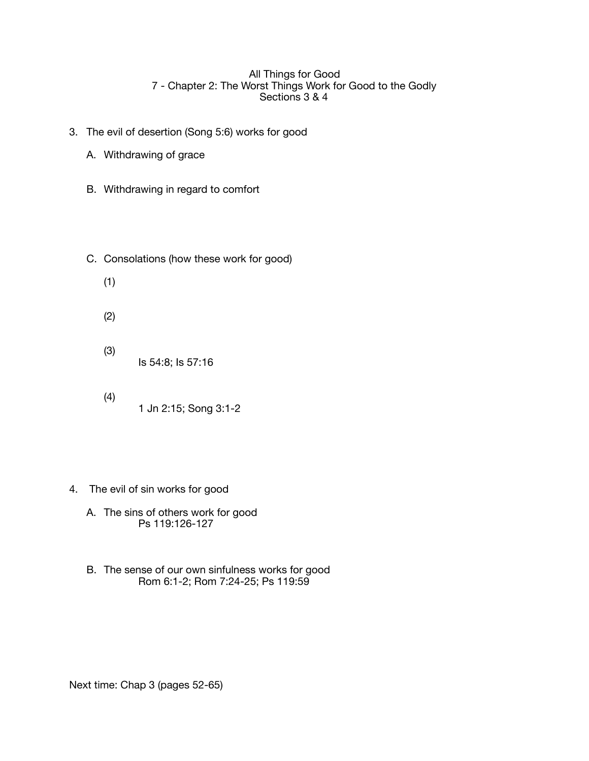## All Things for Good 7 - Chapter 2: The Worst Things Work for Good to the Godly Sections 3 & 4

- 3. The evil of desertion (Song 5:6) works for good
	- A. Withdrawing of grace
	- B. Withdrawing in regard to comfort
	- C. Consolations (how these work for good)
		- (1)
		- (2)
		- (3) Is 54:8; Is 57:16
		- (4) 1 Jn 2:15; Song 3:1-2
- 4. The evil of sin works for good
	- A. The sins of others work for good Ps 119:126-127
	- B. The sense of our own sinfulness works for good Rom 6:1-2; Rom 7:24-25; Ps 119:59

Next time: Chap 3 (pages 52-65)